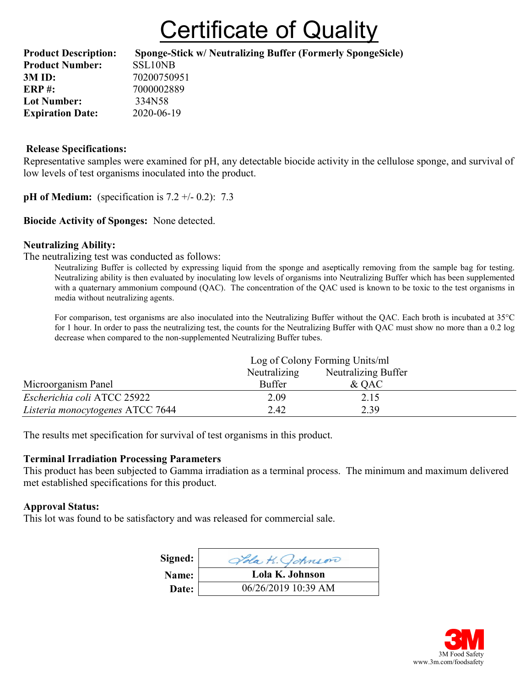## **Certificate of Quality**

| <b>Product Description:</b> | Sponge-Stick w/ Neutralizing Buffer (Formerly SpongeSicle) |
|-----------------------------|------------------------------------------------------------|
| <b>Product Number:</b>      | SSL10NB                                                    |
| 3M ID:                      | 70200750951                                                |
| <b>ERP#:</b>                | 7000002889                                                 |
| <b>Lot Number:</b>          | 334N58                                                     |
| <b>Expiration Date:</b>     | 2020-06-19                                                 |

## Release Specifications:

Representative samples were examined for pH, any detectable biocide activity in the cellulose sponge, and survival of low levels of test organisms inoculated into the product.

**pH** of Medium: (specification is  $7.2 +/- 0.2$ ):  $7.3$ 

## Biocide Activity of Sponges: None detected.

## Neutralizing Ability:

The neutralizing test was conducted as follows:

Neutralizing Buffer is collected by expressing liquid from the sponge and aseptically removing from the sample bag for testing. Neutralizing ability is then evaluated by inoculating low levels of organisms into Neutralizing Buffer which has been supplemented with a quaternary ammonium compound (QAC). The concentration of the QAC used is known to be toxic to the test organisms in media without neutralizing agents.

For comparison, test organisms are also inoculated into the Neutralizing Buffer without the QAC. Each broth is incubated at 35°C for 1 hour. In order to pass the neutralizing test, the counts for the Neutralizing Buffer with QAC must show no more than a 0.2 log decrease when compared to the non-supplemented Neutralizing Buffer tubes.

|                                  | Log of Colony Forming Units/ml |                     |  |
|----------------------------------|--------------------------------|---------------------|--|
|                                  | Neutralizing                   | Neutralizing Buffer |  |
| Microorganism Panel              | <b>Buffer</b>                  | $&$ OAC             |  |
| Escherichia coli ATCC 25922      | 2.09                           | 2.15                |  |
| Listeria monocytogenes ATCC 7644 | 2.42                           | 2.39                |  |

The results met specification for survival of test organisms in this product.

#### Terminal Irradiation Processing Parameters

This product has been subjected to Gamma irradiation as a terminal process. The minimum and maximum delivered met established specifications for this product.

#### Approval Status:

This lot was found to be satisfactory and was released for commercial sale.

| Signed: | Jola K. Johnson     |
|---------|---------------------|
| Name:   | Lola K. Johnson     |
| Date:   | 06/26/2019 10:39 AM |